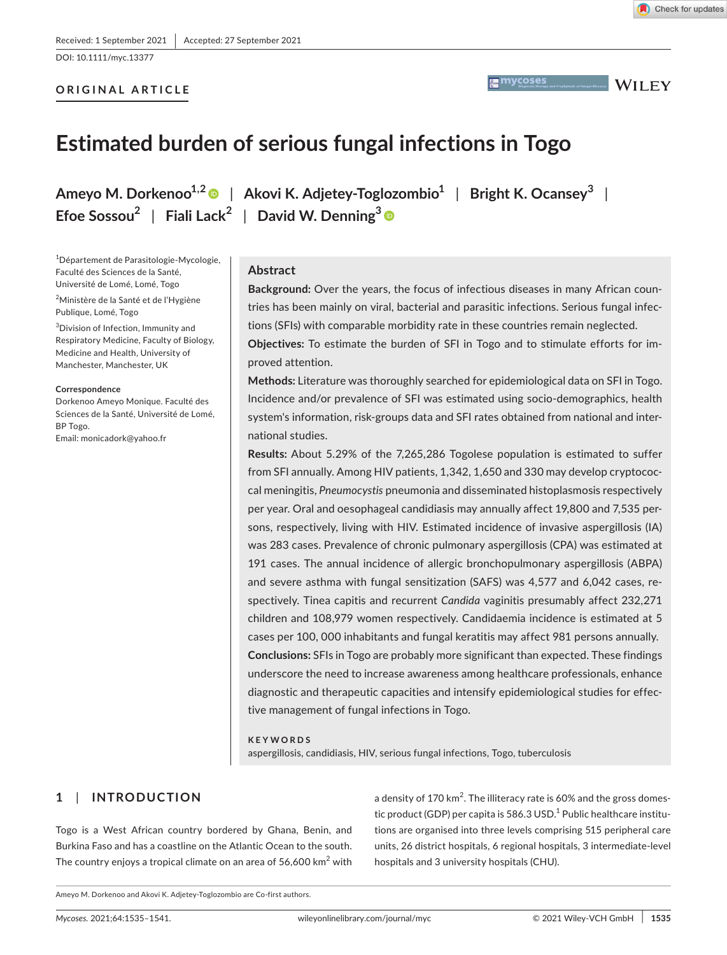DOI: 10.1111/myc.13377

## **ORIGINAL ARTICLE**

**MYCOSES** Management Prophylaxis of Fungal Diseases **WILEY** 

# **Estimated burden of serious fungal infections in Togo**

**Efoe Sossou<sup>2</sup>** | **Fiali Lack<sup>2</sup>** | **David W. Denning<sup>3</sup>**

1 Département de Parasitologie-Mycologie, Faculté des Sciences de la Santé, Université de Lomé, Lomé, Togo

2 Ministère de la Santé et de l'Hygiène Publique, Lomé, Togo

<sup>3</sup> Division of Infection, Immunity and Respiratory Medicine, Faculty of Biology, Medicine and Health, University of Manchester, Manchester, UK

#### **Correspondence**

Dorkenoo Ameyo Monique. Faculté des Sciences de la Santé, Université de Lomé, BP Togo.

Email: [monicadork@yahoo.fr](mailto:monicadork@yahoo.fr)

**Ameyo M. Dorkenoo1,2** | **Akovi K. Adjetey-Toglozombio<sup>1</sup>** | **Bright K. Ocansey<sup>3</sup>** |

## **Abstract**

**Background:** Over the years, the focus of infectious diseases in many African countries has been mainly on viral, bacterial and parasitic infections. Serious fungal infections (SFIs) with comparable morbidity rate in these countries remain neglected. **Objectives:** To estimate the burden of SFI in Togo and to stimulate efforts for improved attention.

**Methods:** Literature was thoroughly searched for epidemiological data on SFI in Togo. Incidence and/or prevalence of SFI was estimated using socio-demographics, health system's information, risk-groups data and SFI rates obtained from national and international studies.

**Results:** About 5.29% of the 7,265,286 Togolese population is estimated to suffer from SFI annually. Among HIV patients, 1,342, 1,650 and 330 may develop cryptococcal meningitis, *Pneumocystis* pneumonia and disseminated histoplasmosis respectively per year. Oral and oesophageal candidiasis may annually affect 19,800 and 7,535 persons, respectively, living with HIV. Estimated incidence of invasive aspergillosis (IA) was 283 cases. Prevalence of chronic pulmonary aspergillosis (CPA) was estimated at 191 cases. The annual incidence of allergic bronchopulmonary aspergillosis (ABPA) and severe asthma with fungal sensitization (SAFS) was 4,577 and 6,042 cases, respectively. Tinea capitis and recurrent *Candida* vaginitis presumably affect 232,271 children and 108,979 women respectively. Candidaemia incidence is estimated at 5 cases per 100, 000 inhabitants and fungal keratitis may affect 981 persons annually. **Conclusions:** SFIs in Togo are probably more significant than expected. These findings underscore the need to increase awareness among healthcare professionals, enhance diagnostic and therapeutic capacities and intensify epidemiological studies for effective management of fungal infections in Togo.

**KEYWORDS** aspergillosis, candidiasis, HIV, serious fungal infections, Togo, tuberculosis

# **1**  | **INTRODUCTION**

Togo is a West African country bordered by Ghana, Benin, and Burkina Faso and has a coastline on the Atlantic Ocean to the south. The country enjoys a tropical climate on an area of 56,600 km $^2$  with

a density of 170 km<sup>2</sup>. The illiteracy rate is 60% and the gross domestic product (GDP) per capita is 586.3 USD.<sup>1</sup> Public healthcare institutions are organised into three levels comprising 515 peripheral care units, 26 district hospitals, 6 regional hospitals, 3 intermediate-level hospitals and 3 university hospitals (CHU).

Ameyo M. Dorkenoo and Akovi K. Adjetey-Toglozombio are Co-first authors.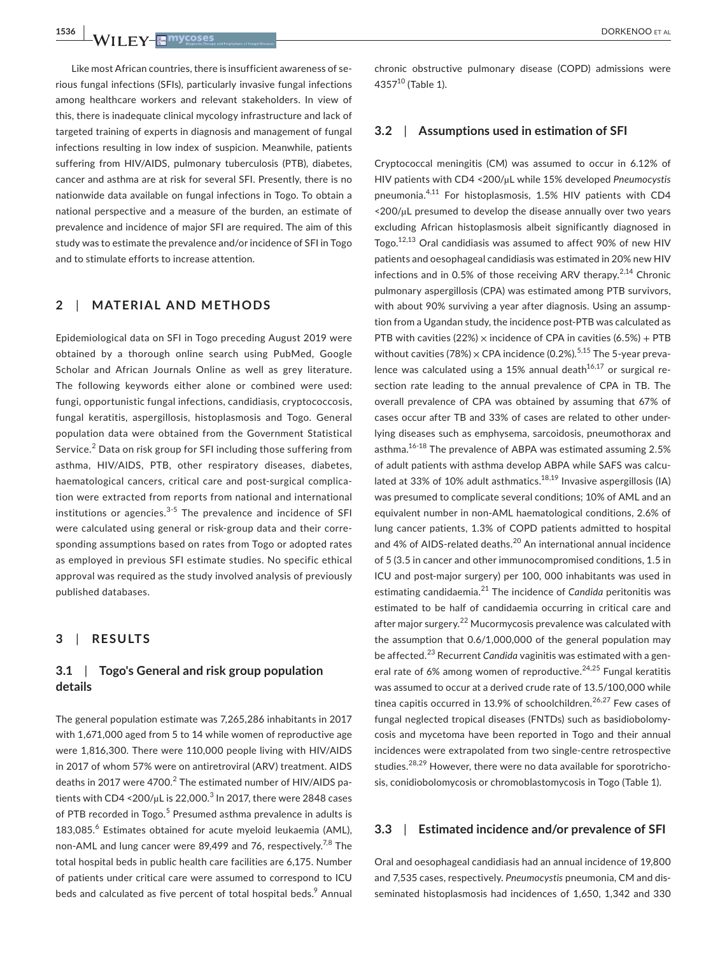**1536 <sup>|</sup>**  DORKENOO et al

Like most African countries, there is insufficient awareness of serious fungal infections (SFIs), particularly invasive fungal infections among healthcare workers and relevant stakeholders. In view of this, there is inadequate clinical mycology infrastructure and lack of targeted training of experts in diagnosis and management of fungal infections resulting in low index of suspicion. Meanwhile, patients suffering from HIV/AIDS, pulmonary tuberculosis (PTB), diabetes, cancer and asthma are at risk for several SFI. Presently, there is no nationwide data available on fungal infections in Togo. To obtain a national perspective and a measure of the burden, an estimate of prevalence and incidence of major SFI are required. The aim of this study was to estimate the prevalence and/or incidence of SFI in Togo and to stimulate efforts to increase attention.

## **2**  | **MATERIAL AND METHODS**

Epidemiological data on SFI in Togo preceding August 2019 were obtained by a thorough online search using PubMed, Google Scholar and African Journals Online as well as grey literature. The following keywords either alone or combined were used: fungi, opportunistic fungal infections, candidiasis, cryptococcosis, fungal keratitis, aspergillosis, histoplasmosis and Togo. General population data were obtained from the Government Statistical Service.<sup>2</sup> Data on risk group for SFI including those suffering from asthma, HIV/AIDS, PTB, other respiratory diseases, diabetes, haematological cancers, critical care and post-surgical complication were extracted from reports from national and international institutions or agencies.<sup>3-5</sup> The prevalence and incidence of SFI were calculated using general or risk-group data and their corresponding assumptions based on rates from Togo or adopted rates as employed in previous SFI estimate studies. No specific ethical approval was required as the study involved analysis of previously published databases.

# **3**  | **RESULTS**

## **3.1**  | **Togo's General and risk group population details**

The general population estimate was 7,265,286 inhabitants in 2017 with 1,671,000 aged from 5 to 14 while women of reproductive age were 1,816,300. There were 110,000 people living with HIV/AIDS in 2017 of whom 57% were on antiretroviral (ARV) treatment. AIDS deaths in 2017 were 4700. $^2$  The estimated number of HIV/AIDS patients with CD4 <200/ $\mu$ L is 22,000. $^3$  In 2017, there were 2848 cases of PTB recorded in Togo.<sup>5</sup> Presumed asthma prevalence in adults is 183,085.<sup>6</sup> Estimates obtained for acute myeloid leukaemia (AML), non-AML and lung cancer were 89,499 and 76, respectively.<sup>7,8</sup> The total hospital beds in public health care facilities are 6,175. Number of patients under critical care were assumed to correspond to ICU beds and calculated as five percent of total hospital beds.<sup>9</sup> Annual

chronic obstructive pulmonary disease (COPD) admissions were  $4357^{10}$  (Table 1).

## **3.2**  | **Assumptions used in estimation of SFI**

Cryptococcal meningitis (CM) was assumed to occur in 6.12% of HIV patients with CD4 ˂200/µL while 15% developed *Pneumocystis* pneumonia.<sup>4,11</sup> For histoplasmosis, 1.5% HIV patients with CD4 ˂200/µL presumed to develop the disease annually over two years excluding African histoplasmosis albeit significantly diagnosed in Togo.12,13 Oral candidiasis was assumed to affect 90% of new HIV patients and oesophageal candidiasis was estimated in 20% new HIV infections and in 0.5% of those receiving ARV therapy.<sup>2,14</sup> Chronic pulmonary aspergillosis (CPA) was estimated among PTB survivors, with about 90% surviving a year after diagnosis. Using an assumption from a Ugandan study, the incidence post-PTB was calculated as PTB with cavities (22%)  $\times$  incidence of CPA in cavities (6.5%) + PTB without cavities (78%)  $\times$  CPA incidence (0.2%).<sup>5,15</sup> The 5-year prevalence was calculated using a 15% annual death $16,17$  or surgical resection rate leading to the annual prevalence of CPA in TB. The overall prevalence of CPA was obtained by assuming that 67% of cases occur after TB and 33% of cases are related to other underlying diseases such as emphysema, sarcoidosis, pneumothorax and asthma.<sup>16-18</sup> The prevalence of ABPA was estimated assuming 2.5% of adult patients with asthma develop ABPA while SAFS was calculated at 33% of 10% adult asthmatics.<sup>18,19</sup> Invasive aspergillosis (IA) was presumed to complicate several conditions; 10% of AML and an equivalent number in non-AML haematological conditions, 2.6% of lung cancer patients, 1.3% of COPD patients admitted to hospital and 4% of AIDS-related deaths.<sup>20</sup> An international annual incidence of 5 (3.5 in cancer and other immunocompromised conditions, 1.5 in ICU and post-major surgery) per 100, 000 inhabitants was used in estimating candidaemia.21 The incidence of *Candida* peritonitis was estimated to be half of candidaemia occurring in critical care and after major surgery.<sup>22</sup> Mucormycosis prevalence was calculated with the assumption that 0.6/1,000,000 of the general population may be affected.23 Recurrent *Candida* vaginitis was estimated with a general rate of 6% among women of reproductive.<sup>24,25</sup> Fungal keratitis was assumed to occur at a derived crude rate of 13.5/100,000 while tinea capitis occurred in 13.9% of schoolchildren.<sup>26,27</sup> Few cases of fungal neglected tropical diseases (FNTDs) such as basidiobolomycosis and mycetoma have been reported in Togo and their annual incidences were extrapolated from two single-centre retrospective studies.<sup>28,29</sup> However, there were no data available for sporotrichosis, conidiobolomycosis or chromoblastomycosis in Togo (Table 1).

## **3.3**  | **Estimated incidence and/or prevalence of SFI**

Oral and oesophageal candidiasis had an annual incidence of 19,800 and 7,535 cases, respectively. *Pneumocystis* pneumonia, CM and disseminated histoplasmosis had incidences of 1,650, 1,342 and 330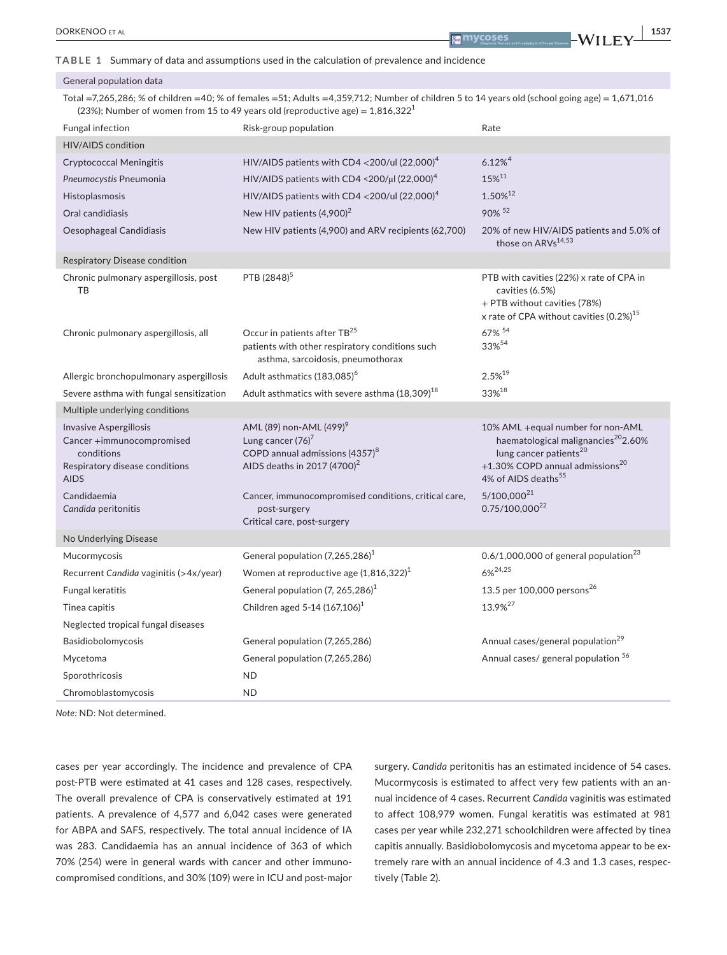DORKENOO et al **<sup>|</sup> 1537**

**TABLE 1** Summary of data and assumptions used in the calculation of prevalence and incidence

#### General population data

Total =7,265,286; % of children =40; % of females =51; Adults =4,359,712; Number of children 5 to 14 years old (school going age) = 1,671,016 (23%); Number of women from 15 to 49 years old (reproductive age) =  $1,816,322<sup>1</sup>$ 

| <b>Fungal infection</b>                                                                                            | Risk-group population                                                                                                                                | Rate                                                                                                                                                                                                         |
|--------------------------------------------------------------------------------------------------------------------|------------------------------------------------------------------------------------------------------------------------------------------------------|--------------------------------------------------------------------------------------------------------------------------------------------------------------------------------------------------------------|
| <b>HIV/AIDS</b> condition                                                                                          |                                                                                                                                                      |                                                                                                                                                                                                              |
| <b>Cryptococcal Meningitis</b>                                                                                     | HIV/AIDS patients with CD4 <200/ul $(22,000)^4$                                                                                                      | $6.12\%$ <sup>4</sup>                                                                                                                                                                                        |
| Pneumocystis Pneumonia                                                                                             | HIV/AIDS patients with CD4 <200/µI (22,000) <sup>4</sup>                                                                                             | 15%11                                                                                                                                                                                                        |
| Histoplasmosis                                                                                                     | HIV/AIDS patients with CD4 <200/ul (22,000) <sup>4</sup>                                                                                             | 1.50%12                                                                                                                                                                                                      |
| Oral candidiasis                                                                                                   | New HIV patients (4,900) <sup>2</sup>                                                                                                                | 90% 52                                                                                                                                                                                                       |
| Oesophageal Candidiasis                                                                                            | New HIV patients (4,900) and ARV recipients (62,700)                                                                                                 | 20% of new HIV/AIDS patients and 5.0% of<br>those on ARVs <sup>14,53</sup>                                                                                                                                   |
| Respiratory Disease condition                                                                                      |                                                                                                                                                      |                                                                                                                                                                                                              |
| Chronic pulmonary aspergillosis, post<br>TB                                                                        | PTB (2848) <sup>5</sup>                                                                                                                              | PTB with cavities (22%) x rate of CPA in<br>cavities (6.5%)<br>+ PTB without cavities (78%)<br>x rate of CPA without cavities $(0.2\%)^{15}$                                                                 |
| Chronic pulmonary aspergillosis, all                                                                               | Occur in patients after TB <sup>25</sup><br>patients with other respiratory conditions such<br>asthma, sarcoidosis, pneumothorax                     | 67% 54<br>33% <sup>54</sup>                                                                                                                                                                                  |
| Allergic bronchopulmonary aspergillosis                                                                            | Adult asthmatics (183,085) <sup>6</sup>                                                                                                              | $2.5\%^{19}$                                                                                                                                                                                                 |
| Severe asthma with fungal sensitization                                                                            | Adult asthmatics with severe asthma (18,309) <sup>18</sup>                                                                                           | $33\%$ <sup>18</sup>                                                                                                                                                                                         |
| Multiple underlying conditions                                                                                     |                                                                                                                                                      |                                                                                                                                                                                                              |
| Invasive Aspergillosis<br>Cancer +immunocompromised<br>conditions<br>Respiratory disease conditions<br><b>AIDS</b> | AML (89) non-AML (499) <sup>9</sup><br>Lung cancer $(76)^7$<br>COPD annual admissions (4357) <sup>8</sup><br>AIDS deaths in 2017 (4700) <sup>2</sup> | 10% AML +equal number for non-AML<br>haematological malignancies <sup>20</sup> 2.60%<br>lung cancer patients <sup>20</sup><br>+1.30% COPD annual admissions <sup>20</sup><br>4% of AIDS deaths <sup>55</sup> |
| Candidaemia<br>Candida peritonitis                                                                                 | Cancer, immunocompromised conditions, critical care,<br>post-surgery<br>Critical care, post-surgery                                                  | $5/100,000^{21}$<br>$0.75/100,000^{22}$                                                                                                                                                                      |
| No Underlying Disease                                                                                              |                                                                                                                                                      |                                                                                                                                                                                                              |
| Mucormycosis                                                                                                       | General population $(7,265,286)^1$                                                                                                                   | $0.6/1,000,000$ of general population <sup>23</sup>                                                                                                                                                          |
| Recurrent Candida vaginitis (>4x/year)                                                                             | Women at reproductive age $(1,816,322)^{1}$                                                                                                          | $6\%^{24,25}$                                                                                                                                                                                                |
| Fungal keratitis                                                                                                   | General population (7, 265, 286) <sup>1</sup>                                                                                                        | 13.5 per 100,000 persons <sup>26</sup>                                                                                                                                                                       |
| Tinea capitis                                                                                                      | Children aged 5-14 (167,106) <sup>1</sup>                                                                                                            | 13.9% <sup>27</sup>                                                                                                                                                                                          |
| Neglected tropical fungal diseases                                                                                 |                                                                                                                                                      |                                                                                                                                                                                                              |
| Basidiobolomycosis                                                                                                 | General population (7,265,286)                                                                                                                       | Annual cases/general population <sup>29</sup>                                                                                                                                                                |
| Mycetoma                                                                                                           | General population (7,265,286)                                                                                                                       | Annual cases/ general population 56                                                                                                                                                                          |
| Sporothricosis                                                                                                     | <b>ND</b>                                                                                                                                            |                                                                                                                                                                                                              |
| Chromoblastomycosis                                                                                                | <b>ND</b>                                                                                                                                            |                                                                                                                                                                                                              |

*Note:* ND: Not determined.

cases per year accordingly. The incidence and prevalence of CPA post-PTB were estimated at 41 cases and 128 cases, respectively. The overall prevalence of CPA is conservatively estimated at 191 patients. A prevalence of 4,577 and 6,042 cases were generated for ABPA and SAFS, respectively. The total annual incidence of IA was 283. Candidaemia has an annual incidence of 363 of which 70% (254) were in general wards with cancer and other immunocompromised conditions, and 30% (109) were in ICU and post-major surgery. *Candida* peritonitis has an estimated incidence of 54 cases. Mucormycosis is estimated to affect very few patients with an annual incidence of 4 cases. Recurrent *Candida* vaginitis was estimated to affect 108,979 women. Fungal keratitis was estimated at 981 cases per year while 232,271 schoolchildren were affected by tinea capitis annually. Basidiobolomycosis and mycetoma appear to be extremely rare with an annual incidence of 4.3 and 1.3 cases, respectively (Table 2).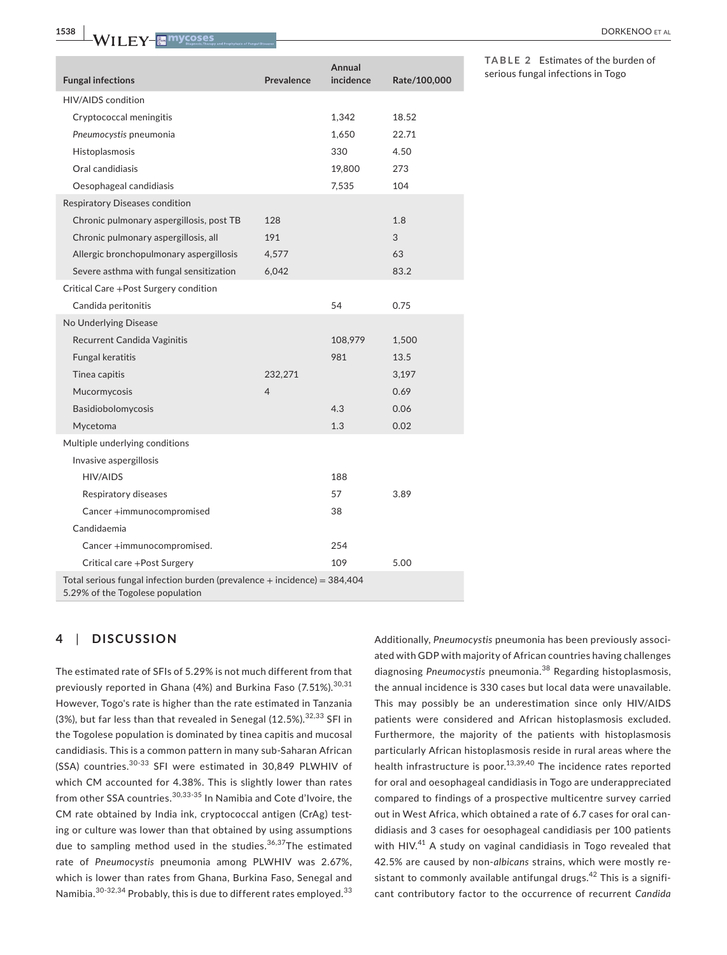| <b>Fungal infections</b>                                                                                       | Prevalence     | Annual<br>incidence | Rate/100,000 |  |
|----------------------------------------------------------------------------------------------------------------|----------------|---------------------|--------------|--|
| <b>HIV/AIDS</b> condition                                                                                      |                |                     |              |  |
| Cryptococcal meningitis                                                                                        |                | 1,342               | 18.52        |  |
| Pneumocystis pneumonia                                                                                         |                | 1,650               | 22.71        |  |
| Histoplasmosis                                                                                                 |                | 330                 | 4.50         |  |
| Oral candidiasis                                                                                               |                | 19,800              | 273          |  |
| Oesophageal candidiasis                                                                                        |                | 7,535               | 104          |  |
| Respiratory Diseases condition                                                                                 |                |                     |              |  |
| Chronic pulmonary aspergillosis, post TB                                                                       | 128            |                     | 1.8          |  |
| Chronic pulmonary aspergillosis, all                                                                           | 191            |                     | 3            |  |
| Allergic bronchopulmonary aspergillosis                                                                        | 4,577          |                     | 63           |  |
| Severe asthma with fungal sensitization                                                                        | 6,042          |                     | 83.2         |  |
| Critical Care +Post Surgery condition                                                                          |                |                     |              |  |
| Candida peritonitis                                                                                            |                | 54                  | 0.75         |  |
| No Underlying Disease                                                                                          |                |                     |              |  |
| Recurrent Candida Vaginitis                                                                                    |                | 108,979             | 1,500        |  |
| Fungal keratitis                                                                                               |                | 981                 | 13.5         |  |
| Tinea capitis                                                                                                  | 232,271        |                     | 3,197        |  |
| Mucormycosis                                                                                                   | $\overline{4}$ |                     | 0.69         |  |
| Basidiobolomycosis                                                                                             |                | 4.3                 | 0.06         |  |
| Mycetoma                                                                                                       |                | 1.3                 | 0.02         |  |
| Multiple underlying conditions                                                                                 |                |                     |              |  |
| Invasive aspergillosis                                                                                         |                |                     |              |  |
| <b>HIV/AIDS</b>                                                                                                |                | 188                 |              |  |
| Respiratory diseases                                                                                           |                | 57                  | 3.89         |  |
| Cancer +immunocompromised                                                                                      |                | 38                  |              |  |
| Candidaemia                                                                                                    |                |                     |              |  |
| Cancer +immunocompromised.                                                                                     |                | 254                 |              |  |
| Critical care +Post Surgery                                                                                    |                | 109                 | 5.00         |  |
| Total serious fungal infection burden (prevalence $+$ incidence) = 384,404<br>5.29% of the Togolese population |                |                     |              |  |

**TABLE 2** Estimates of the burden of serious fungal infections in Togo

# **4**  | **DISCUSSION**

The estimated rate of SFIs of 5.29% is not much different from that previously reported in Ghana (4%) and Burkina Faso (7.51%).<sup>30,31</sup> However, Togo's rate is higher than the rate estimated in Tanzania (3%), but far less than that revealed in Senegal (12.5%).  $32,33$  SFI in the Togolese population is dominated by tinea capitis and mucosal candidiasis. This is a common pattern in many sub-Saharan African (SSA) countries.<sup>30-33</sup> SFI were estimated in 30,849 PLWHIV of which CM accounted for 4.38%. This is slightly lower than rates from other SSA countries.<sup>30,33-35</sup> In Namibia and Cote d'Ivoire, the CM rate obtained by India ink, cryptococcal antigen (CrAg) testing or culture was lower than that obtained by using assumptions due to sampling method used in the studies.<sup>36,37</sup>The estimated rate of *Pneumocystis* pneumonia among PLWHIV was 2.67%, which is lower than rates from Ghana, Burkina Faso, Senegal and Namibia.<sup>30-32,34</sup> Probably, this is due to different rates employed.<sup>33</sup> Additionally, *Pneumocystis* pneumonia has been previously associated with GDP with majority of African countries having challenges diagnosing *Pneumocystis* pneumonia.38 Regarding histoplasmosis, the annual incidence is 330 cases but local data were unavailable. This may possibly be an underestimation since only HIV/AIDS patients were considered and African histoplasmosis excluded. Furthermore, the majority of the patients with histoplasmosis particularly African histoplasmosis reside in rural areas where the health infrastructure is poor.<sup>13,39,40</sup> The incidence rates reported for oral and oesophageal candidiasis in Togo are underappreciated compared to findings of a prospective multicentre survey carried out in West Africa, which obtained a rate of 6.7 cases for oral candidiasis and 3 cases for oesophageal candidiasis per 100 patients with HIV.<sup>41</sup> A study on vaginal candidiasis in Togo revealed that 42.5% are caused by non-*albicans* strains, which were mostly resistant to commonly available antifungal drugs.<sup>42</sup> This is a significant contributory factor to the occurrence of recurrent *Candida*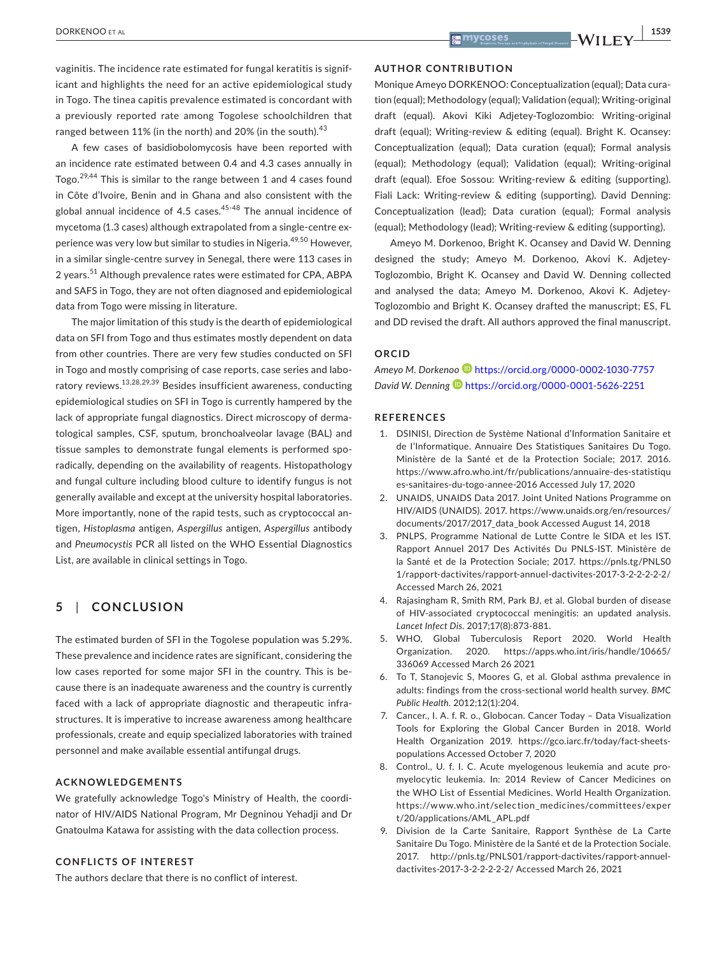vaginitis. The incidence rate estimated for fungal keratitis is significant and highlights the need for an active epidemiological study in Togo. The tinea capitis prevalence estimated is concordant with a previously reported rate among Togolese schoolchildren that ranged between 11% (in the north) and 20% (in the south). $43$ 

A few cases of basidiobolomycosis have been reported with an incidence rate estimated between 0.4 and 4.3 cases annually in Togo.29,44 This is similar to the range between 1 and 4 cases found in Côte d'Ivoire, Benin and in Ghana and also consistent with the global annual incidence of 4.5 cases.<sup>45-48</sup> The annual incidence of mycetoma (1.3 cases) although extrapolated from a single-centre experience was very low but similar to studies in Nigeria.<sup>49,50</sup> However, in a similar single-centre survey in Senegal, there were 113 cases in 2 years.<sup>51</sup> Although prevalence rates were estimated for CPA, ABPA and SAFS in Togo, they are not often diagnosed and epidemiological data from Togo were missing in literature.

The major limitation of this study is the dearth of epidemiological data on SFI from Togo and thus estimates mostly dependent on data from other countries. There are very few studies conducted on SFI in Togo and mostly comprising of case reports, case series and laboratory reviews.<sup>13,28,29,39</sup> Besides insufficient awareness, conducting epidemiological studies on SFI in Togo is currently hampered by the lack of appropriate fungal diagnostics. Direct microscopy of dermatological samples, CSF, sputum, bronchoalveolar lavage (BAL) and tissue samples to demonstrate fungal elements is performed sporadically, depending on the availability of reagents. Histopathology and fungal culture including blood culture to identify fungus is not generally available and except at the university hospital laboratories. More importantly, none of the rapid tests, such as cryptococcal antigen, *Histoplasma* antigen, *Aspergillus* antigen, *Aspergillus* antibody and *Pneumocystis* PCR all listed on the WHO Essential Diagnostics List, are available in clinical settings in Togo.

## **5**  | **CONCLUSION**

The estimated burden of SFI in the Togolese population was 5.29%. These prevalence and incidence rates are significant, considering the low cases reported for some major SFI in the country. This is because there is an inadequate awareness and the country is currently faced with a lack of appropriate diagnostic and therapeutic infrastructures. It is imperative to increase awareness among healthcare professionals, create and equip specialized laboratories with trained personnel and make available essential antifungal drugs.

#### **ACKNOWLEDGEMENTS**

We gratefully acknowledge Togo's Ministry of Health, the coordinator of HIV/AIDS National Program, Mr Degninou Yehadji and Dr Gnatoulma Katawa for assisting with the data collection process.

#### **CONFLICTS OF INTEREST**

The authors declare that there is no conflict of interest.

## **AUTHOR CONTRIBUTION**

Monique Ameyo DORKENOO: Conceptualization (equal); Data curation (equal); Methodology (equal); Validation (equal); Writing-original draft (equal). Akovi Kiki Adjetey-Toglozombio: Writing-original draft (equal); Writing-review & editing (equal). Bright K. Ocansey: Conceptualization (equal); Data curation (equal); Formal analysis (equal); Methodology (equal); Validation (equal); Writing-original draft (equal). Efoe Sossou: Writing-review & editing (supporting). Fiali Lack: Writing-review & editing (supporting). David Denning: Conceptualization (lead); Data curation (equal); Formal analysis (equal); Methodology (lead); Writing-review & editing (supporting).

Ameyo M. Dorkenoo, Bright K. Ocansey and David W. Denning designed the study; Ameyo M. Dorkenoo, Akovi K. Adjetey-Toglozombio, Bright K. Ocansey and David W. Denning collected and analysed the data; Ameyo M. Dorkenoo, Akovi K. Adjetey-Toglozombio and Bright K. Ocansey drafted the manuscript; ES, FL and DD revised the draft. All authors approved the final manuscript.

### **ORCID**

*Ameyo M. Dorkeno[o](https://orcid.org/0000-0002-1030-7757)* <https://orcid.org/0000-0002-1030-7757> *David W. Denning* <https://orcid.org/0000-0001-5626-2251>

## **REFERENCES**

- 1. DSINISI, Direction de Système National d'Information Sanitaire et de I'Informatique. Annuaire Des Statistiques Sanitaires Du Togo. Ministère de la Santé et de la Protection Sociale; 2017. 2016. [https://www.afro.who.int/fr/publications/annuaire-des-statistiqu](https://www.afro.who.int/fr/publications/annuaire-des-statistiques-sanitaires-du-togo-annee-2016) [es-sanitaires-du-togo-annee-2016](https://www.afro.who.int/fr/publications/annuaire-des-statistiques-sanitaires-du-togo-annee-2016) Accessed July 17, 2020
- 2. UNAIDS, UNAIDS Data 2017. Joint United Nations Programme on HIV/AIDS (UNAIDS). 2017. [https://www.unaids.org/en/resources/](https://www.unaids.org/en/resources/documents/2017/2017_data_book) [documents/2017/2017\\_data\\_book](https://www.unaids.org/en/resources/documents/2017/2017_data_book) Accessed August 14, 2018
- 3. PNLPS, Programme National de Lutte Contre le SIDA et les IST. Rapport Annuel 2017 Des Activités Du PNLS-IST. Ministère de la Santé et de la Protection Sociale; 2017. [https://pnls.tg/PNLS0](https://pnls.tg/PNLS01/rapport-dactivites/rapport-annuel-dactivites-2017-3-2-2-2-2-2/) [1/rapport-dactivites/rapport-annuel-dactivites-2017-3-2-2-2-2-2/](https://pnls.tg/PNLS01/rapport-dactivites/rapport-annuel-dactivites-2017-3-2-2-2-2-2/)  Accessed March 26, 2021
- 4. Rajasingham R, Smith RM, Park BJ, et al. Global burden of disease of HIV-associated cryptococcal meningitis: an updated analysis. *Lancet Infect Dis*. 2017;17(8):873-881.
- 5. WHO, Global Tuberculosis Report 2020. World Health Organization. 2020. [https://apps.who.int/iris/handle/10665/](https://apps.who.int/iris/handle/10665/336069) [336069](https://apps.who.int/iris/handle/10665/336069) Accessed March 26 2021
- 6. To T, Stanojevic S, Moores G, et al. Global asthma prevalence in adults: findings from the cross-sectional world health survey. *BMC Public Health*. 2012;12(1):204.
- 7. Cancer., I. A. f. R. o., Globocan. Cancer Today Data Visualization Tools for Exploring the Global Cancer Burden in 2018. World Health Organization 2019. [https://gco.iarc.fr/today/fact-sheets](https://gco.iarc.fr/today/fact-sheets-populations)[populations](https://gco.iarc.fr/today/fact-sheets-populations) Accessed October 7, 2020
- 8. Control., U. f. I. C. Acute myelogenous leukemia and acute promyelocytic leukemia. In: 2014 Review of Cancer Medicines on the WHO List of Essential Medicines. World Health Organization. [https://www.who.int/selection\\_medicines/committees/exper](https://www.who.int/selection_medicines/committees/expert/20/applications/AML_APL.pdf) [t/20/applications/AML\\_APL.pdf](https://www.who.int/selection_medicines/committees/expert/20/applications/AML_APL.pdf)
- 9. Division de la Carte Sanitaire, Rapport Synthèse de La Carte Sanitaire Du Togo. Ministère de la Santé et de la Protection Sociale. 2017. [http://pnls.tg/PNLS01/rapport-dactivites/rapport-annuel](http://pnls.tg/PNLS01/rapport-dactivites/rapport-annuel-dactivites-2017-3-2-2-2-2-2/)[dactivites-2017-3-2-2-2-2-2/](http://pnls.tg/PNLS01/rapport-dactivites/rapport-annuel-dactivites-2017-3-2-2-2-2-2/) Accessed March 26, 2021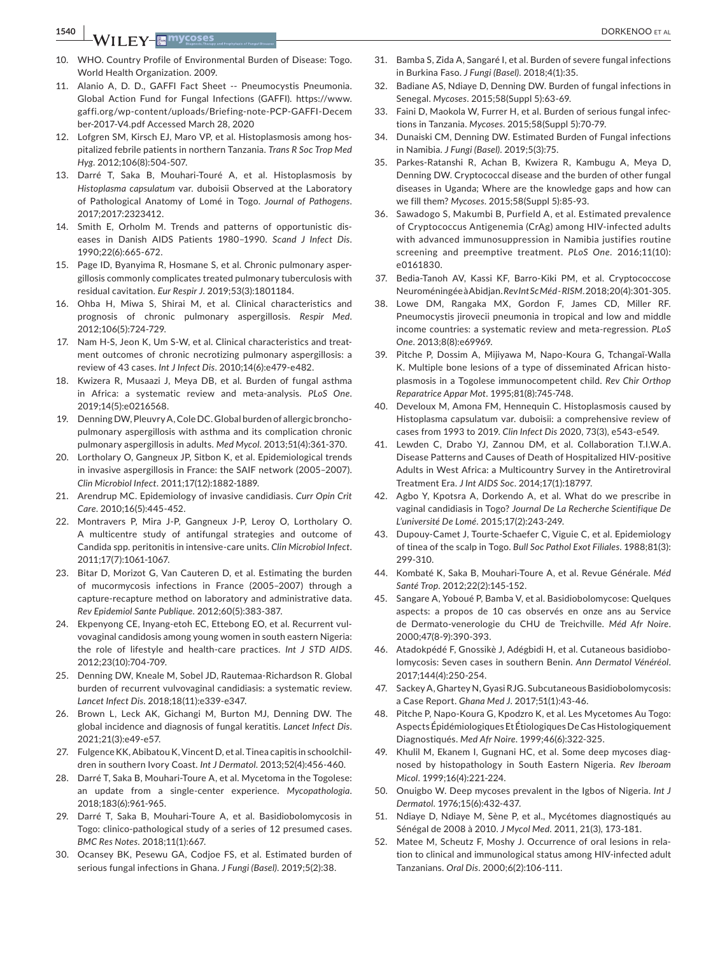**1540 | 147LLEV ET MVCOSES** | *PORTUAL EXAMPLE EXAMPLE EXAMPLE EXAMPLE EXAMPLE EXAMPLE EXAMPLE EXAMPLE EXAMPLE EXAMPLE EXAMPLE EXAMPLE EXAMPLE EXAMPLE EXAMPLE EXAMPLE EXAMPLE EXAMPLE EXAMPLE EXAMPLE EXAMPLE EXAMPLE EXAM* 

- 10. WHO. Country Profile of Environmental Burden of Disease: Togo. World Health Organization. 2009.
- 11. Alanio A, D. D., GAFFI Fact Sheet -- Pneumocystis Pneumonia. Global Action Fund for Fungal Infections (GAFFI). [https://www.](https://www.gaffi.org/wp-content/uploads/Briefing-note-PCP-GAFFI-December-2017-V4.pdf) [gaffi.org/wp-content/uploads/Briefing-note-PCP-GAFFI-Decem](https://www.gaffi.org/wp-content/uploads/Briefing-note-PCP-GAFFI-December-2017-V4.pdf) [ber-2017-V4.pdf](https://www.gaffi.org/wp-content/uploads/Briefing-note-PCP-GAFFI-December-2017-V4.pdf) Accessed March 28, 2020
- 12. Lofgren SM, Kirsch EJ, Maro VP, et al. Histoplasmosis among hospitalized febrile patients in northern Tanzania. *Trans R Soc Trop Med Hyg*. 2012;106(8):504-507.
- 13. Darré T, Saka B, Mouhari-Touré A, et al. Histoplasmosis by *Histoplasma capsulatum* var. duboisii Observed at the Laboratory of Pathological Anatomy of Lomé in Togo. *Journal of Pathogens*. 2017;2017:2323412.
- 14. Smith E, Orholm M. Trends and patterns of opportunistic diseases in Danish AIDS Patients 1980–1990. *Scand J Infect Dis*. 1990;22(6):665-672.
- 15. Page ID, Byanyima R, Hosmane S, et al. Chronic pulmonary aspergillosis commonly complicates treated pulmonary tuberculosis with residual cavitation. *Eur Respir J*. 2019;53(3):1801184.
- 16. Ohba H, Miwa S, Shirai M, et al. Clinical characteristics and prognosis of chronic pulmonary aspergillosis. *Respir Med*. 2012;106(5):724-729.
- 17. Nam H-S, Jeon K, Um S-W, et al. Clinical characteristics and treatment outcomes of chronic necrotizing pulmonary aspergillosis: a review of 43 cases. *Int J Infect Dis*. 2010;14(6):e479-e482.
- 18. Kwizera R, Musaazi J, Meya DB, et al. Burden of fungal asthma in Africa: a systematic review and meta-analysis. *PLoS One*. 2019;14(5):e0216568.
- 19. Denning DW, Pleuvry A, Cole DC. Global burden of allergic bronchopulmonary aspergillosis with asthma and its complication chronic pulmonary aspergillosis in adults. *Med Mycol*. 2013;51(4):361-370.
- 20. Lortholary O, Gangneux JP, Sitbon K, et al. Epidemiological trends in invasive aspergillosis in France: the SAIF network (2005–2007). *Clin Microbiol Infect*. 2011;17(12):1882-1889.
- 21. Arendrup MC. Epidemiology of invasive candidiasis. *Curr Opin Crit Care*. 2010;16(5):445-452.
- 22. Montravers P, Mira J-P, Gangneux J-P, Leroy O, Lortholary O. A multicentre study of antifungal strategies and outcome of Candida spp. peritonitis in intensive-care units. *Clin Microbiol Infect*. 2011;17(7):1061-1067.
- 23. Bitar D, Morizot G, Van Cauteren D, et al. Estimating the burden of mucormycosis infections in France (2005–2007) through a capture-recapture method on laboratory and administrative data. *Rev Epidemiol Sante Publique*. 2012;60(5):383-387.
- 24. Ekpenyong CE, Inyang-etoh EC, Ettebong EO, et al. Recurrent vulvovaginal candidosis among young women in south eastern Nigeria: the role of lifestyle and health-care practices. *Int J STD AIDS*. 2012;23(10):704-709.
- 25. Denning DW, Kneale M, Sobel JD, Rautemaa-Richardson R. Global burden of recurrent vulvovaginal candidiasis: a systematic review. *Lancet Infect Dis*. 2018;18(11):e339-e347.
- 26. Brown L, Leck AK, Gichangi M, Burton MJ, Denning DW. The global incidence and diagnosis of fungal keratitis. *Lancet Infect Dis*. 2021;21(3):e49-e57.
- 27. Fulgence KK, Abibatou K, Vincent D, et al. Tinea capitis in schoolchildren in southern Ivory Coast. *Int J Dermatol*. 2013;52(4):456-460.
- 28. Darré T, Saka B, Mouhari-Toure A, et al. Mycetoma in the Togolese: an update from a single-center experience. *Mycopathologia*. 2018;183(6):961-965.
- 29. Darré T, Saka B, Mouhari-Toure A, et al. Basidiobolomycosis in Togo: clinico-pathological study of a series of 12 presumed cases. *BMC Res Notes*. 2018;11(1):667.
- 30. Ocansey BK, Pesewu GA, Codjoe FS, et al. Estimated burden of serious fungal infections in Ghana. *J Fungi (Basel)*. 2019;5(2):38.
- 31. Bamba S, Zida A, Sangaré I, et al. Burden of severe fungal infections in Burkina Faso. *J Fungi (Basel)*. 2018;4(1):35.
- 32. Badiane AS, Ndiaye D, Denning DW. Burden of fungal infections in Senegal. *Mycoses*. 2015;58(Suppl 5):63-69.
- 33. Faini D, Maokola W, Furrer H, et al. Burden of serious fungal infections in Tanzania. *Mycoses*. 2015;58(Suppl 5):70-79.
- 34. Dunaiski CM, Denning DW. Estimated Burden of Fungal infections in Namibia. *J Fungi (Basel)*. 2019;5(3):75.
- 35. Parkes-Ratanshi R, Achan B, Kwizera R, Kambugu A, Meya D, Denning DW. Cryptococcal disease and the burden of other fungal diseases in Uganda; Where are the knowledge gaps and how can we fill them? *Mycoses*. 2015;58(Suppl 5):85-93.
- 36. Sawadogo S, Makumbi B, Purfield A, et al. Estimated prevalence of Cryptococcus Antigenemia (CrAg) among HIV-infected adults with advanced immunosuppression in Namibia justifies routine screening and preemptive treatment. *PLoS One*. 2016;11(10): e0161830.
- 37. Bedia-Tanoh AV, Kassi KF, Barro-Kiki PM, et al. Cryptococcose Neuroméningée à Abidjan. *Rev Int Sc Méd - RISM*. 2018;20(4):301-305.
- 38. Lowe DM, Rangaka MX, Gordon F, James CD, Miller RF. Pneumocystis jirovecii pneumonia in tropical and low and middle income countries: a systematic review and meta-regression. *PLoS One*. 2013;8(8):e69969.
- 39. Pitche P, Dossim A, Mijiyawa M, Napo-Koura G, Tchangaï-Walla K. Multiple bone lesions of a type of disseminated African histoplasmosis in a Togolese immunocompetent child. *Rev Chir Orthop Reparatrice Appar Mot*. 1995;81(8):745-748.
- 40. Develoux M, Amona FM, Hennequin C. Histoplasmosis caused by Histoplasma capsulatum var. duboisii: a comprehensive review of cases from 1993 to 2019. *Clin Infect Dis* 2020, 73(3), e543-e549.
- 41. Lewden C, Drabo YJ, Zannou DM, et al. Collaboration T.I.W.A. Disease Patterns and Causes of Death of Hospitalized HIV-positive Adults in West Africa: a Multicountry Survey in the Antiretroviral Treatment Era. *J Int AIDS Soc*. 2014;17(1):18797.
- 42. Agbo Y, Kpotsra A, Dorkendo A, et al. What do we prescribe in vaginal candidiasis in Togo? *Journal De La Recherche Scientifique De L'université De Lomé*. 2015;17(2):243-249.
- 43. Dupouy-Camet J, Tourte-Schaefer C, Viguie C, et al. Epidemiology of tinea of the scalp in Togo. *Bull Soc Pathol Exot Filiales*. 1988;81(3): 299-310.
- 44. Kombaté K, Saka B, Mouhari-Toure A, et al. Revue Générale. *Méd Santé Trop*. 2012;22(2):145-152.
- 45. Sangare A, Yoboué P, Bamba V, et al. Basidiobolomycose: Quelques aspects: a propos de 10 cas observés en onze ans au Service de Dermato-venerologie du CHU de Treichville. *Méd Afr Noire*. 2000;47(8-9):390-393.
- 46. Atadokpédé F, Gnossikè J, Adégbidi H, et al. Cutaneous basidiobolomycosis: Seven cases in southern Benin. *Ann Dermatol Vénéréol*. 2017;144(4):250-254.
- 47. Sackey A, Ghartey N, Gyasi RJG. Subcutaneous Basidiobolomycosis: a Case Report. *Ghana Med J*. 2017;51(1):43-46.
- 48. Pitche P, Napo-Koura G, Kpodzro K, et al. Les Mycetomes Au Togo: Aspects Épidémiologiques Et Étiologiques De Cas Histologiquement Diagnostiqués. *Med Afr Noire*. 1999;46(6):322-325.
- 49. Khulil M, Ekanem I, Gugnani HC, et al. Some deep mycoses diagnosed by histopathology in South Eastern Nigeria. *Rev Iberoam Micol*. 1999;16(4):221-224.
- 50. Onuigbo W. Deep mycoses prevalent in the Igbos of Nigeria. *Int J Dermatol*. 1976;15(6):432-437.
- 51. Ndiaye D, Ndiaye M, Sène P, et al., Mycétomes diagnostiqués au Sénégal de 2008 à 2010. *J Mycol Med*. 2011, 21(3), 173-181.
- 52. Matee M, Scheutz F, Moshy J. Occurrence of oral lesions in relation to clinical and immunological status among HIV-infected adult Tanzanians. *Oral Dis*. 2000;6(2):106-111.